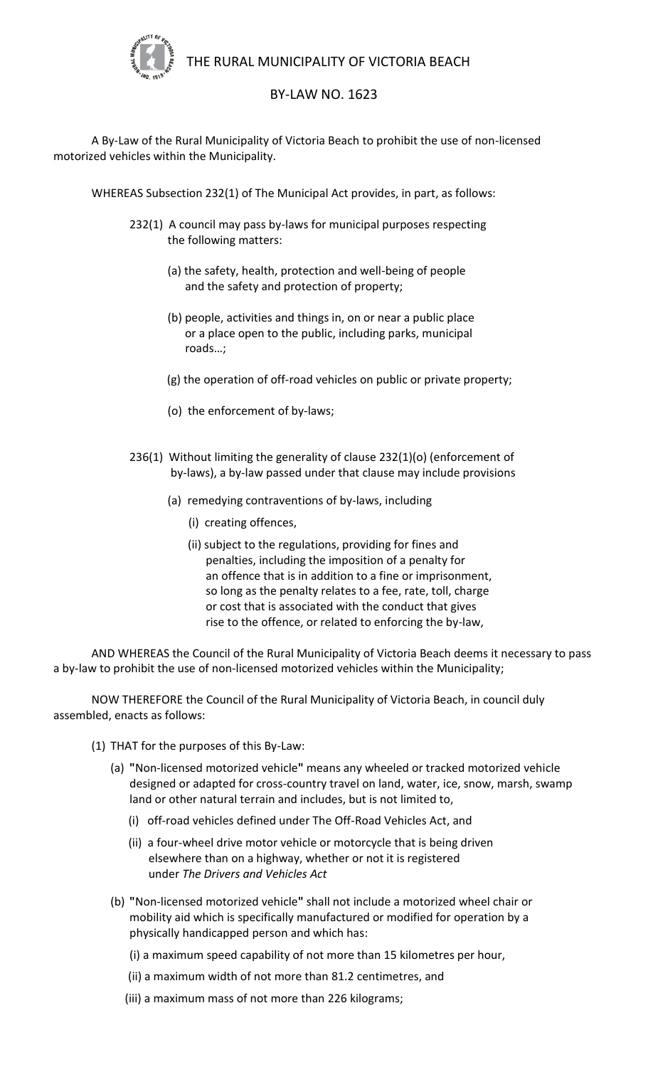

THE RURAL MUNICIPALITY OF VICTORIA BEACH

## BY-LAW NO. 1623

A By-Law of the Rural Municipality of Victoria Beach to prohibit the use of non-licensed motorized vehicles within the Municipality.

WHEREAS Subsection 232(1) of The Municipal Act provides, in part, as follows:

- 232(1) A council may pass by-laws for municipal purposes respecting the following matters:
	- (a) the safety, health, protection and well-being of people and the safety and protection of property;
	- (b) people, activities and things in, on or near a public place or a place open to the public, including parks, municipal roads…;
	- (g) the operation of off-road vehicles on public or private property;
	- (o) the enforcement of by-laws;
- 236(1) Without limiting the generality of clause 232(1)(o) (enforcement of by-laws), a by-law passed under that clause may include provisions
	- (a) remedying contraventions of by-laws, including
		- (i) creating offences,
		- (ii) subject to the regulations, providing for fines and penalties, including the imposition of a penalty for an offence that is in addition to a fine or imprisonment, so long as the penalty relates to a fee, rate, toll, charge or cost that is associated with the conduct that gives rise to the offence, or related to enforcing the by-law,

AND WHEREAS the Council of the Rural Municipality of Victoria Beach deems it necessary to pass a by-law to prohibit the use of non-licensed motorized vehicles within the Municipality;

NOW THEREFORE the Council of the Rural Municipality of Victoria Beach, in council duly assembled, enacts as follows:

- (1) THAT for the purposes of this By-Law:
	- (a) **"**Non-licensed motorized vehicle**"** means any wheeled or tracked motorized vehicle designed or adapted for cross-country travel on land, water, ice, snow, marsh, swamp land or other natural terrain and includes, but is not limited to,
		- (i) off-road vehicles defined under The Off-Road Vehicles Act, and
		- (ii) a four-wheel drive motor vehicle or motorcycle that is being driven elsewhere than on a highway, whether or not it is registered under *The Drivers and Vehicles Act*
	- (b) **"**Non-licensed motorized vehicle**"** shall not include a motorized wheel chair or mobility aid which is specifically manufactured or modified for operation by a physically handicapped person and which has:
		- (i) a maximum speed capability of not more than 15 kilometres per hour,
		- (ii) a maximum width of not more than 81.2 centimetres, and
		- (iii) a maximum mass of not more than 226 kilograms;